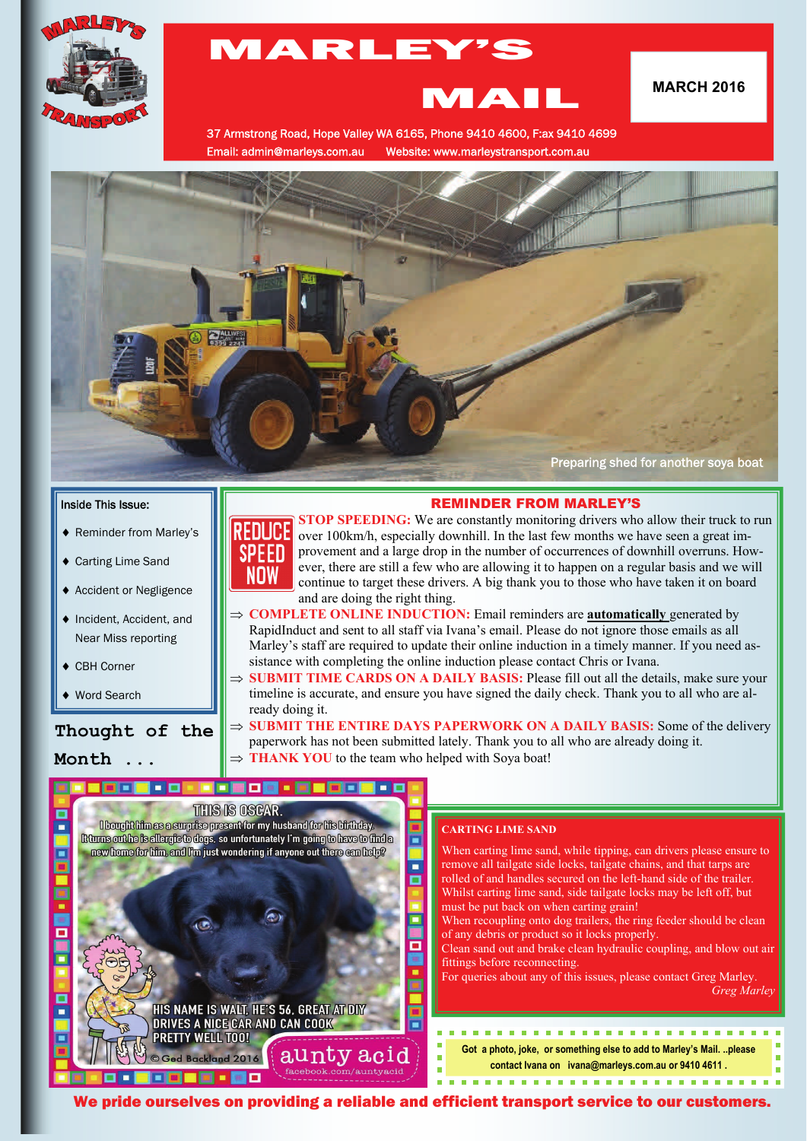

# MARLEY'S MARCH 2016

37 Armstrong Road, Hope Valley WA 6165, Phone 9410 4600, F:ax 9410 4699 Email: admin@marleys.com.au Website: www.marleystransport.com.au



#### Inside This Issue:

- ◆ Reminder from Marley's
- ◆ Carting Lime Sand
- Accident or Negligence
- ◆ Incident, Accident, and Near Miss reporting
- ◆ CBH Corner
- ◆ Word Search

Г

# **Thought of the Month ...**



**STOP SPEEDING:** We are constantly monitoring drivers who allow their truck to run over 100km/h, especially downhill. In the last few months we have seen a great improvement and a large drop in the number of occurrences of downhill overruns. However, there are still a few who are allowing it to happen on a regular basis and we will continue to target these drivers. A big thank you to those who have taken it on board and are doing the right thing.

REMINDER FROM MARLEY'S

- $\Rightarrow$  **COMPLETE ONLINE INDUCTION:** Email reminders are **automatically** generated by RapidInduct and sent to all staff via Ivana's email. Please do not ignore those emails as all Marley's staff are required to update their online induction in a timely manner. If you need assistance with completing the online induction please contact Chris or Ivana.
- ⇒ **SUBMIT TIME CARDS ON A DAILY BASIS:** Please fill out all the details, make sure your timeline is accurate, and ensure you have signed the daily check. Thank you to all who are already doing it.
- $\Rightarrow$  **SUBMIT THE ENTIRE DAYS PAPERWORK ON A DAILY BASIS:** Some of the delivery paperwork has not been submitted lately. Thank you to all who are already doing it. **THANK YOU** to the team who helped with Soya boat!

# THIS IS OSCAR

I bought him as a surprise present for my husband for his birthday. Rturns out he is allembe to dops, so unfortunately I'm going to have to find a new home for him, and I'm just wondering if anyone out there can help?

HIS NAME IS WALT, HE'S 56, GREAT AT DIV<br>DRIVES A NICE CAR AND CAN COOK

PRETTY WELL TOO!

ed Backland 2016

#### **CARTING LIME SAND**

When carting lime sand, while tipping, can drivers please ensure to remove all tailgate side locks, tailgate chains, and that tarps are rolled of and handles secured on the left-hand side of the trailer. Whilst carting lime sand, side tailgate locks may be left off, but must be put back on when carting grain! When recoupling onto dog trailers, the ring feeder should be clean

- of any debris or product so it locks properly.
- Clean sand out and brake clean hydraulic coupling, and blow out air fittings before reconnecting.

For queries about any of this issues, please contact Greg Marley. *Greg Marley* 

**Got a photo, joke, or something else to add to Marley's Mail. ..please contact Ivana on ivana@marleys.com.au or 9410 4611 .**  

We pride ourselves on providing a reliable and efficient transport service to our customers.

aunty acid

 $\blacksquare$